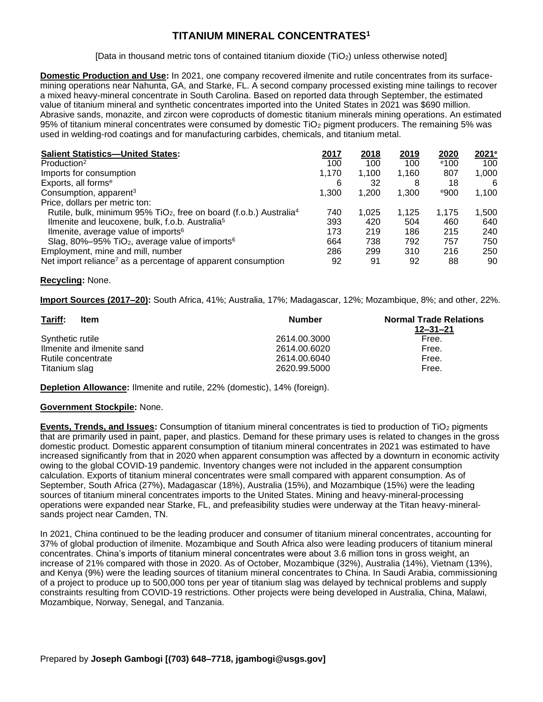## **TITANIUM MINERAL CONCENTRATES<sup>1</sup>**

[Data in thousand metric tons of contained titanium dioxide  $(TiO<sub>2</sub>)$  unless otherwise noted]

**Domestic Production and Use:** In 2021, one company recovered ilmenite and rutile concentrates from its surfacemining operations near Nahunta, GA, and Starke, FL. A second company processed existing mine tailings to recover a mixed heavy-mineral concentrate in South Carolina. Based on reported data through September, the estimated value of titanium mineral and synthetic concentrates imported into the United States in 2021 was \$690 million. Abrasive sands, monazite, and zircon were coproducts of domestic titanium minerals mining operations. An estimated 95% of titanium mineral concentrates were consumed by domestic TiO<sub>2</sub> pigment producers. The remaining 5% was used in welding-rod coatings and for manufacturing carbides, chemicals, and titanium metal.

| <b>Salient Statistics-United States:</b>                                                   | 2017  | 2018  | 2019  | 2020             | 2021 <sup>e</sup> |
|--------------------------------------------------------------------------------------------|-------|-------|-------|------------------|-------------------|
| Production <sup>2</sup>                                                                    | 100   | 100   | 100   | $e$ 100          | 100               |
| Imports for consumption                                                                    | 1.170 | 1,100 | 1,160 | 807              | 1,000             |
| Exports, all forms <sup>e</sup>                                                            | 6     | 32    | 8     | 18               | -6                |
| Consumption, apparent <sup>3</sup>                                                         | 1,300 | 1.200 | 1,300 | <sup>e</sup> 900 | 1,100             |
| Price, dollars per metric ton:                                                             |       |       |       |                  |                   |
| Rutile, bulk, minimum 95% TiO <sub>2</sub> , free on board (f.o.b.) Australia <sup>4</sup> | 740   | 1,025 | 1,125 | 1,175            | 1,500             |
| Ilmenite and leucoxene, bulk, f.o.b. Australia <sup>5</sup>                                | 393   | 420   | 504   | 460              | 640               |
| Ilmenite, average value of imports <sup>6</sup>                                            | 173   | 219   | 186   | 215              | 240               |
| Slag, 80%-95% TiO <sub>2</sub> , average value of imports <sup>6</sup>                     | 664   | 738   | 792   | 757              | 750               |
| Employment, mine and mill, number                                                          | 286   | 299   | 310   | 216              | 250               |
| Net import reliance <sup>7</sup> as a percentage of apparent consumption                   | 92    | 91    | 92    | 88               | 90                |

## **Recycling:** None.

**Import Sources (2017–20):** South Africa, 41%; Australia, 17%; Madagascar, 12%; Mozambique, 8%; and other, 22%.

| Tariff:<br>Item            | <b>Number</b> | <b>Normal Trade Relations</b><br>12–31–21 |
|----------------------------|---------------|-------------------------------------------|
| Synthetic rutile           | 2614.00.3000  | Free.                                     |
| Ilmenite and ilmenite sand | 2614.00.6020  | Free.                                     |
| Rutile concentrate         | 2614.00.6040  | Free.                                     |
| Titanium slag              | 2620.99.5000  | Free.                                     |

**Depletion Allowance:** Ilmenite and rutile, 22% (domestic), 14% (foreign).

## **Government Stockpile:** None.

**Events, Trends, and Issues:** Consumption of titanium mineral concentrates is tied to production of TiO<sub>2</sub> pigments that are primarily used in paint, paper, and plastics. Demand for these primary uses is related to changes in the gross domestic product. Domestic apparent consumption of titanium mineral concentrates in 2021 was estimated to have increased significantly from that in 2020 when apparent consumption was affected by a downturn in economic activity owing to the global COVID-19 pandemic. Inventory changes were not included in the apparent consumption calculation. Exports of titanium mineral concentrates were small compared with apparent consumption. As of September, South Africa (27%), Madagascar (18%), Australia (15%), and Mozambique (15%) were the leading sources of titanium mineral concentrates imports to the United States. Mining and heavy-mineral-processing operations were expanded near Starke, FL, and prefeasibility studies were underway at the Titan heavy-mineralsands project near Camden, TN.

In 2021, China continued to be the leading producer and consumer of titanium mineral concentrates, accounting for 37% of global production of ilmenite. Mozambique and South Africa also were leading producers of titanium mineral concentrates. China's imports of titanium mineral concentrates were about 3.6 million tons in gross weight, an increase of 21% compared with those in 2020. As of October, Mozambique (32%), Australia (14%), Vietnam (13%), and Kenya (9%) were the leading sources of titanium mineral concentrates to China. In Saudi Arabia, commissioning of a project to produce up to 500,000 tons per year of titanium slag was delayed by technical problems and supply constraints resulting from COVID-19 restrictions. Other projects were being developed in Australia, China, Malawi, Mozambique, Norway, Senegal, and Tanzania.